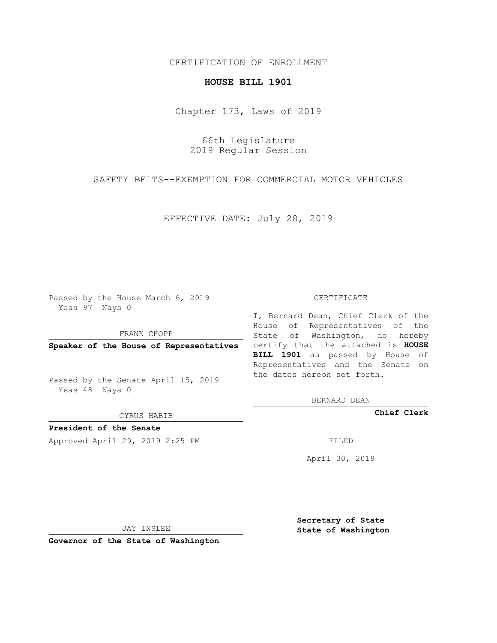## CERTIFICATION OF ENROLLMENT

## **HOUSE BILL 1901**

Chapter 173, Laws of 2019

66th Legislature 2019 Regular Session

SAFETY BELTS--EXEMPTION FOR COMMERCIAL MOTOR VEHICLES

EFFECTIVE DATE: July 28, 2019

Passed by the House March 6, 2019 Yeas 97 Nays 0

FRANK CHOPP

Passed by the Senate April 15, 2019 Yeas 48 Nays 0

CYRUS HABIB

**President of the Senate**

Approved April 29, 2019 2:25 PM FILED

## CERTIFICATE

**Speaker of the House of Representatives** certify that the attached is **HOUSE** I, Bernard Dean, Chief Clerk of the House of Representatives of the State of Washington, do hereby **BILL 1901** as passed by House of Representatives and the Senate on the dates hereon set forth.

BERNARD DEAN

**Chief Clerk**

April 30, 2019

JAY INSLEE

**Governor of the State of Washington**

**Secretary of State State of Washington**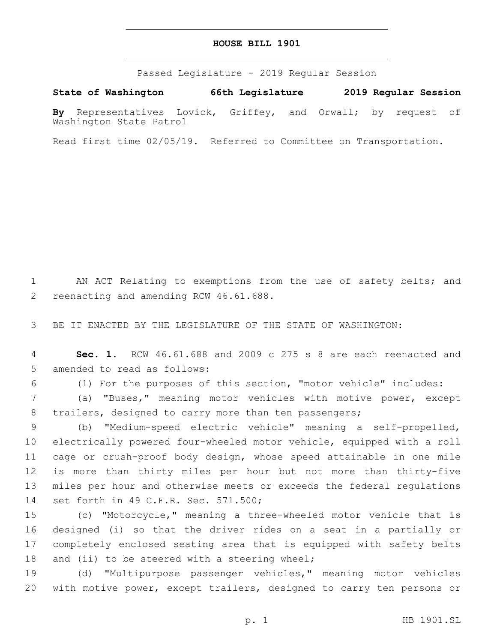## **HOUSE BILL 1901**

Passed Legislature - 2019 Regular Session

**State of Washington 66th Legislature 2019 Regular Session**

**By** Representatives Lovick, Griffey, and Orwall; by request of Washington State Patrol

Read first time 02/05/19. Referred to Committee on Transportation.

1 AN ACT Relating to exemptions from the use of safety belts; and 2 reenacting and amending RCW 46.61.688.

3 BE IT ENACTED BY THE LEGISLATURE OF THE STATE OF WASHINGTON:

4 **Sec. 1.** RCW 46.61.688 and 2009 c 275 s 8 are each reenacted and 5 amended to read as follows:

6 (1) For the purposes of this section, "motor vehicle" includes:

7 (a) "Buses," meaning motor vehicles with motive power, except 8 trailers, designed to carry more than ten passengers;

 (b) "Medium-speed electric vehicle" meaning a self-propelled, electrically powered four-wheeled motor vehicle, equipped with a roll cage or crush-proof body design, whose speed attainable in one mile is more than thirty miles per hour but not more than thirty-five miles per hour and otherwise meets or exceeds the federal regulations 14 set forth in 49 C.F.R. Sec. 571.500;

 (c) "Motorcycle," meaning a three-wheeled motor vehicle that is designed (i) so that the driver rides on a seat in a partially or completely enclosed seating area that is equipped with safety belts 18 and (ii) to be steered with a steering wheel;

19 (d) "Multipurpose passenger vehicles," meaning motor vehicles 20 with motive power, except trailers, designed to carry ten persons or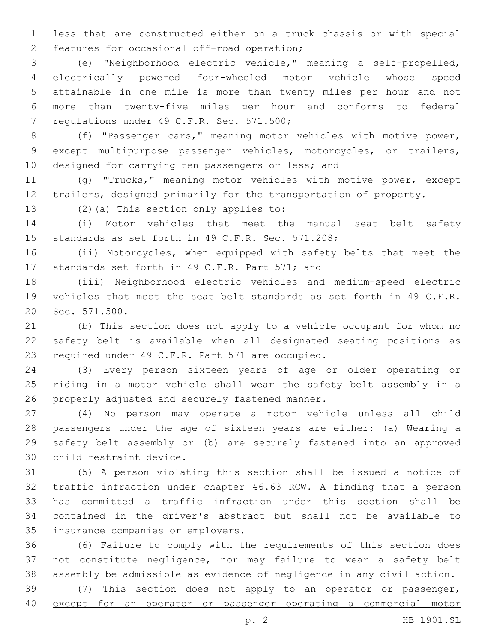less that are constructed either on a truck chassis or with special 2 features for occasional off-road operation;

 (e) "Neighborhood electric vehicle," meaning a self-propelled, electrically powered four-wheeled motor vehicle whose speed attainable in one mile is more than twenty miles per hour and not more than twenty-five miles per hour and conforms to federal 7 regulations under 49 C.F.R. Sec. 571.500;

 (f) "Passenger cars," meaning motor vehicles with motive power, except multipurpose passenger vehicles, motorcycles, or trailers, 10 designed for carrying ten passengers or less; and

 (g) "Trucks," meaning motor vehicles with motive power, except trailers, designed primarily for the transportation of property.

13 (2)(a) This section only applies to:

 (i) Motor vehicles that meet the manual seat belt safety 15 standards as set forth in 49 C.F.R. Sec. 571.208;

 (ii) Motorcycles, when equipped with safety belts that meet the 17 standards set forth in 49 C.F.R. Part 571; and

 (iii) Neighborhood electric vehicles and medium-speed electric vehicles that meet the seat belt standards as set forth in 49 C.F.R. 20 Sec. 571.500.

 (b) This section does not apply to a vehicle occupant for whom no safety belt is available when all designated seating positions as 23 required under 49 C.F.R. Part 571 are occupied.

 (3) Every person sixteen years of age or older operating or riding in a motor vehicle shall wear the safety belt assembly in a 26 properly adjusted and securely fastened manner.

 (4) No person may operate a motor vehicle unless all child passengers under the age of sixteen years are either: (a) Wearing a safety belt assembly or (b) are securely fastened into an approved 30 child restraint device.

 (5) A person violating this section shall be issued a notice of traffic infraction under chapter 46.63 RCW. A finding that a person has committed a traffic infraction under this section shall be contained in the driver's abstract but shall not be available to 35 insurance companies or employers.

 (6) Failure to comply with the requirements of this section does not constitute negligence, nor may failure to wear a safety belt assembly be admissible as evidence of negligence in any civil action.

39 (7) This section does not apply to an operator or passenger $<sub>L</sub>$ </sub> except for an operator or passenger operating a commercial motor